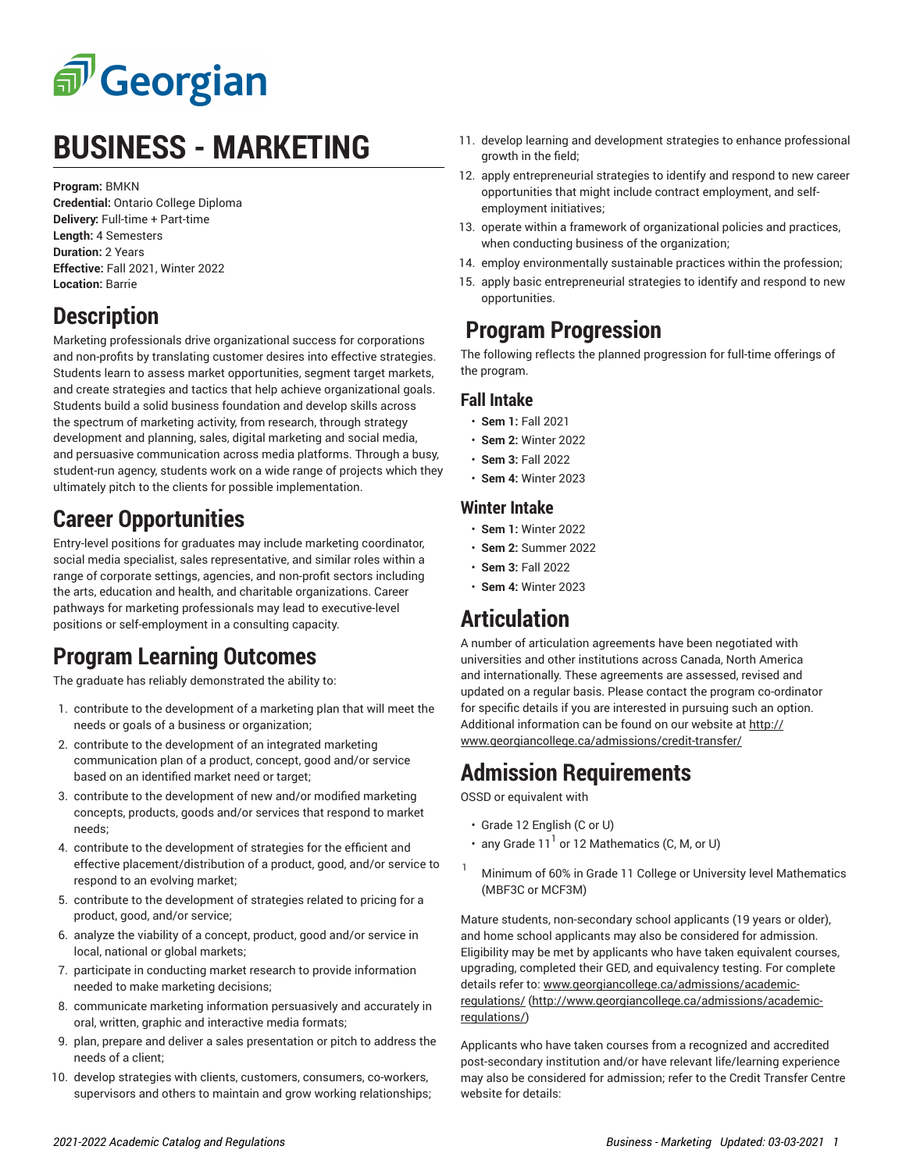

# **BUSINESS - MARKETING**

**Program:** BMKN

**Credential:** Ontario College Diploma **Delivery:** Full-time + Part-time **Length:** 4 Semesters **Duration:** 2 Years **Effective:** Fall 2021, Winter 2022 **Location:** Barrie

#### **Description**

Marketing professionals drive organizational success for corporations and non-profits by translating customer desires into effective strategies. Students learn to assess market opportunities, segment target markets, and create strategies and tactics that help achieve organizational goals. Students build a solid business foundation and develop skills across the spectrum of marketing activity, from research, through strategy development and planning, sales, digital marketing and social media, and persuasive communication across media platforms. Through a busy, student-run agency, students work on a wide range of projects which they ultimately pitch to the clients for possible implementation.

### **Career Opportunities**

Entry-level positions for graduates may include marketing coordinator, social media specialist, sales representative, and similar roles within a range of corporate settings, agencies, and non-profit sectors including the arts, education and health, and charitable organizations. Career pathways for marketing professionals may lead to executive-level positions or self-employment in a consulting capacity.

### **Program Learning Outcomes**

The graduate has reliably demonstrated the ability to:

- 1. contribute to the development of a marketing plan that will meet the needs or goals of a business or organization;
- 2. contribute to the development of an integrated marketing communication plan of a product, concept, good and/or service based on an identified market need or target;
- 3. contribute to the development of new and/or modified marketing concepts, products, goods and/or services that respond to market needs;
- 4. contribute to the development of strategies for the efficient and effective placement/distribution of a product, good, and/or service to respond to an evolving market;
- 5. contribute to the development of strategies related to pricing for a product, good, and/or service;
- 6. analyze the viability of a concept, product, good and/or service in local, national or global markets;
- 7. participate in conducting market research to provide information needed to make marketing decisions;
- 8. communicate marketing information persuasively and accurately in oral, written, graphic and interactive media formats;
- 9. plan, prepare and deliver a sales presentation or pitch to address the needs of a client;
- 10. develop strategies with clients, customers, consumers, co-workers, supervisors and others to maintain and grow working relationships;
- 11. develop learning and development strategies to enhance professional growth in the field;
- 12. apply entrepreneurial strategies to identify and respond to new career opportunities that might include contract employment, and selfemployment initiatives;
- 13. operate within a framework of organizational policies and practices, when conducting business of the organization;
- 14. employ environmentally sustainable practices within the profession;
- 15. apply basic entrepreneurial strategies to identify and respond to new opportunities.

#### **Program Progression**

The following reflects the planned progression for full-time offerings of the program.

#### **Fall Intake**

- **Sem 1:** Fall 2021
- **Sem 2:** Winter 2022
- **Sem 3:** Fall 2022
- **Sem 4:** Winter 2023

#### **Winter Intake**

- **Sem 1:** Winter 2022
- **Sem 2:** Summer 2022
- **Sem 3:** Fall 2022
- **Sem 4:** Winter 2023

## **Articulation**

A number of articulation agreements have been negotiated with universities and other institutions across Canada, North America and internationally. These agreements are assessed, revised and updated on a regular basis. Please contact the program co-ordinator for specific details if you are interested in pursuing such an option. Additional information can be found on our website at [http://](http://www.georgiancollege.ca/admissions/credit-transfer/) [www.georgiancollege.ca/admissions/credit-transfer/](http://www.georgiancollege.ca/admissions/credit-transfer/)

## **Admission Requirements**

OSSD or equivalent with

- Grade 12 English (C or U)
- any Grade 11 $^{\mathrm{1}}$  or 12 Mathematics (C, M, or U)
- Minimum of 60% in Grade 11 College or University level Mathematics (MBF3C or MCF3M)

Mature students, non-secondary school applicants (19 years or older), and home school applicants may also be considered for admission. Eligibility may be met by applicants who have taken equivalent courses, upgrading, completed their GED, and equivalency testing. For complete details refer to: [www.georgiancollege.ca/admissions/academic](http://www.georgiancollege.ca/admissions/academic-regulations/)[regulations/](http://www.georgiancollege.ca/admissions/academic-regulations/) ([http://www.georgiancollege.ca/admissions/academic](http://www.georgiancollege.ca/admissions/academic-regulations/)[regulations/](http://www.georgiancollege.ca/admissions/academic-regulations/))

Applicants who have taken courses from a recognized and accredited post-secondary institution and/or have relevant life/learning experience may also be considered for admission; refer to the Credit Transfer Centre website for details: